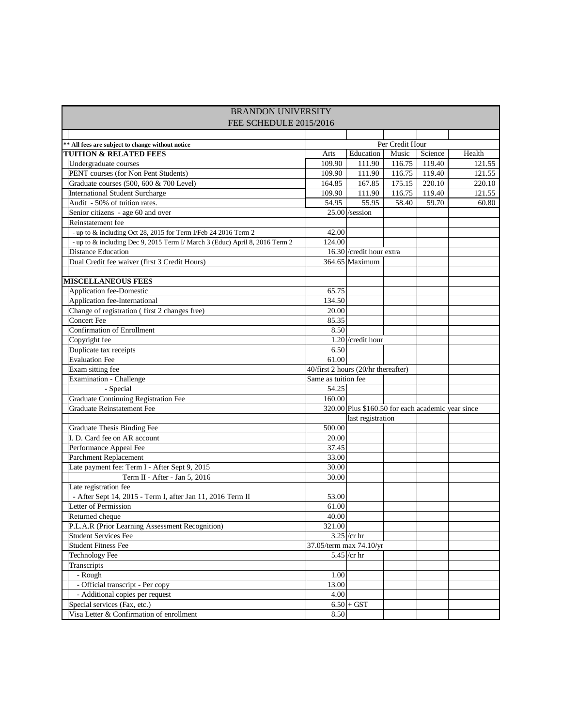| <b>BRANDON UNIVERSITY</b>                                                   |                         |                                                                        |        |         |        |  |  |  |  |
|-----------------------------------------------------------------------------|-------------------------|------------------------------------------------------------------------|--------|---------|--------|--|--|--|--|
| FEE SCHEDULE 2015/2016                                                      |                         |                                                                        |        |         |        |  |  |  |  |
|                                                                             |                         |                                                                        |        |         |        |  |  |  |  |
| ** All fees are subject to change without notice                            | Per Credit Hour         |                                                                        |        |         |        |  |  |  |  |
| <b>TUITION &amp; RELATED FEES</b>                                           | Arts                    | Education                                                              | Music  | Science | Health |  |  |  |  |
| Undergraduate courses                                                       | 109.90                  | 111.90                                                                 | 116.75 | 119.40  | 121.55 |  |  |  |  |
| PENT courses (for Non Pent Students)                                        | 109.90                  | 111.90                                                                 | 116.75 | 119.40  | 121.55 |  |  |  |  |
| Graduate courses (500, 600 & 700 Level)                                     | 164.85                  | 167.85                                                                 | 175.15 | 220.10  | 220.10 |  |  |  |  |
| <b>International Student Surcharge</b>                                      | 109.90                  | 111.90                                                                 | 116.75 | 119.40  | 121.55 |  |  |  |  |
| Audit - 50% of tuition rates.                                               | 54.95                   | 55.95                                                                  | 58.40  | 59.70   | 60.80  |  |  |  |  |
| Senior citizens - age 60 and over                                           |                         | $25.00$ /session                                                       |        |         |        |  |  |  |  |
| Reinstatement fee                                                           |                         |                                                                        |        |         |        |  |  |  |  |
| - up to & including Oct 28, 2015 for Term I/Feb 24 2016 Term 2              | 42.00                   |                                                                        |        |         |        |  |  |  |  |
| - up to & including Dec 9, 2015 Term I/ March 3 (Educ) April 8, 2016 Term 2 | 124.00                  |                                                                        |        |         |        |  |  |  |  |
| <b>Distance Education</b>                                                   |                         | 16.30 / credit hour extra                                              |        |         |        |  |  |  |  |
| Dual Credit fee waiver (first 3 Credit Hours)                               |                         | $364.65$ Maximum                                                       |        |         |        |  |  |  |  |
| <b>MISCELLANEOUS FEES</b>                                                   |                         |                                                                        |        |         |        |  |  |  |  |
| Application fee-Domestic                                                    | 65.75                   |                                                                        |        |         |        |  |  |  |  |
| Application fee-International                                               | 134.50                  |                                                                        |        |         |        |  |  |  |  |
| Change of registration (first 2 changes free)                               | 20.00                   |                                                                        |        |         |        |  |  |  |  |
| <b>Concert Fee</b>                                                          | 85.35                   |                                                                        |        |         |        |  |  |  |  |
| <b>Confirmation of Enrollment</b>                                           | 8.50                    |                                                                        |        |         |        |  |  |  |  |
|                                                                             |                         | $1.20$ /credit hour                                                    |        |         |        |  |  |  |  |
| Copyright fee<br>Duplicate tax receipts                                     | 6.50                    |                                                                        |        |         |        |  |  |  |  |
| <b>Evaluation Fee</b>                                                       | 61.00                   |                                                                        |        |         |        |  |  |  |  |
| Exam sitting fee                                                            |                         |                                                                        |        |         |        |  |  |  |  |
| Examination - Challenge                                                     | Same as tuition fee     | 40/first 2 hours (20/hr thereafter)                                    |        |         |        |  |  |  |  |
| - Special                                                                   | 54.25                   |                                                                        |        |         |        |  |  |  |  |
| Graduate Continuing Registration Fee                                        | 160.00                  |                                                                        |        |         |        |  |  |  |  |
| Graduate Reinstatement Fee                                                  |                         |                                                                        |        |         |        |  |  |  |  |
|                                                                             |                         | 320.00 Plus \$160.50 for each academic year since<br>last registration |        |         |        |  |  |  |  |
| Graduate Thesis Binding Fee                                                 | 500.00                  |                                                                        |        |         |        |  |  |  |  |
| I. D. Card fee on AR account                                                | 20.00                   |                                                                        |        |         |        |  |  |  |  |
| Performance Appeal Fee                                                      | 37.45                   |                                                                        |        |         |        |  |  |  |  |
| Parchment Replacement                                                       | 33.00                   |                                                                        |        |         |        |  |  |  |  |
| Late payment fee: Term I - After Sept 9, 2015                               | 30.00                   |                                                                        |        |         |        |  |  |  |  |
| Term II - After - Jan 5, 2016                                               | 30.00                   |                                                                        |        |         |        |  |  |  |  |
| Late registration fee                                                       |                         |                                                                        |        |         |        |  |  |  |  |
| - After Sept 14, 2015 - Term I, after Jan 11, 2016 Term II                  | 53.00                   |                                                                        |        |         |        |  |  |  |  |
| Letter of Permission                                                        | 61.00                   |                                                                        |        |         |        |  |  |  |  |
| Returned cheque                                                             | 40.00                   |                                                                        |        |         |        |  |  |  |  |
| P.L.A.R (Prior Learning Assessment Recognition)                             | 321.00                  |                                                                        |        |         |        |  |  |  |  |
| <b>Student Services Fee</b>                                                 |                         | $\overline{3.25}$ /cr hr                                               |        |         |        |  |  |  |  |
| <b>Student Fitness Fee</b>                                                  | 37.05/term max 74.10/yr |                                                                        |        |         |        |  |  |  |  |
| <b>Technology Fee</b>                                                       |                         | 5.45 /cr hr                                                            |        |         |        |  |  |  |  |
| Transcripts                                                                 |                         |                                                                        |        |         |        |  |  |  |  |
| - Rough                                                                     | 1.00                    |                                                                        |        |         |        |  |  |  |  |
| - Official transcript - Per copy                                            | 13.00                   |                                                                        |        |         |        |  |  |  |  |
| - Additional copies per request                                             | 4.00                    |                                                                        |        |         |        |  |  |  |  |
| Special services (Fax, etc.)                                                |                         | $6.50 + GST$                                                           |        |         |        |  |  |  |  |
| Visa Letter & Confirmation of enrollment                                    | 8.50                    |                                                                        |        |         |        |  |  |  |  |